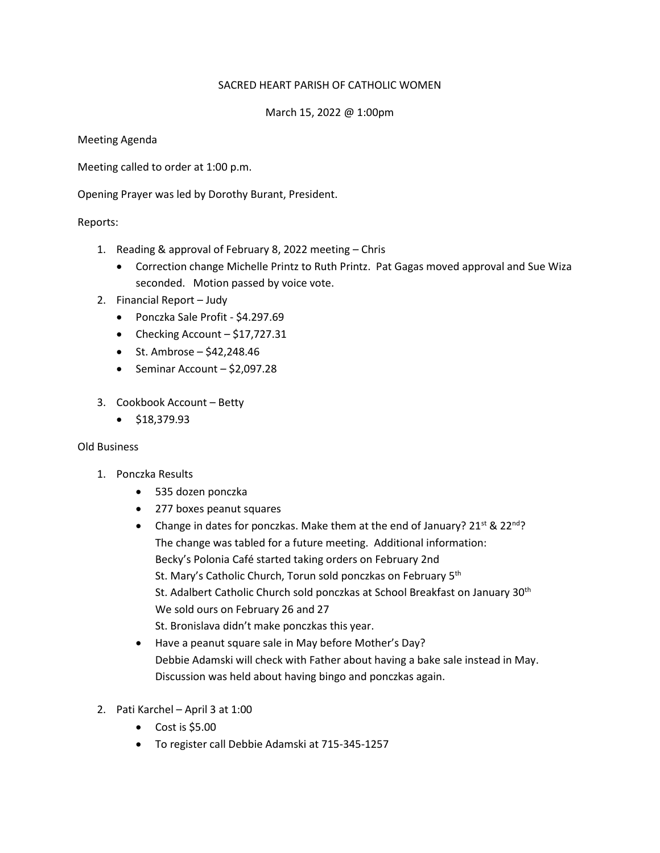### SACRED HEART PARISH OF CATHOLIC WOMEN

## March 15, 2022 @ 1:00pm

Meeting Agenda

Meeting called to order at 1:00 p.m.

Opening Prayer was led by Dorothy Burant, President.

### Reports:

- 1. Reading & approval of February 8, 2022 meeting Chris
	- Correction change Michelle Printz to Ruth Printz. Pat Gagas moved approval and Sue Wiza seconded. Motion passed by voice vote.
- 2. Financial Report Judy
	- Ponczka Sale Profit \$4.297.69
	- Checking Account  $-$  \$17,727.31
	- St. Ambrose  $$42,248.46$
	- Seminar Account \$2,097.28
- 3. Cookbook Account Betty
	- \$18,379.93

#### Old Business

- 1. Ponczka Results
	- 535 dozen ponczka
	- 277 boxes peanut squares
	- Change in dates for ponczkas. Make them at the end of January?  $21^{st}$  &  $22^{nd}$ ? The change was tabled for a future meeting. Additional information: Becky's Polonia Café started taking orders on February 2nd St. Mary's Catholic Church, Torun sold ponczkas on February 5<sup>th</sup> St. Adalbert Catholic Church sold ponczkas at School Breakfast on January 30<sup>th</sup> We sold ours on February 26 and 27 St. Bronislava didn't make ponczkas this year.
	- Have a peanut square sale in May before Mother's Day? Debbie Adamski will check with Father about having a bake sale instead in May. Discussion was held about having bingo and ponczkas again.
- 2. Pati Karchel April 3 at 1:00
	- $\bullet$  Cost is \$5.00
	- To register call Debbie Adamski at 715-345-1257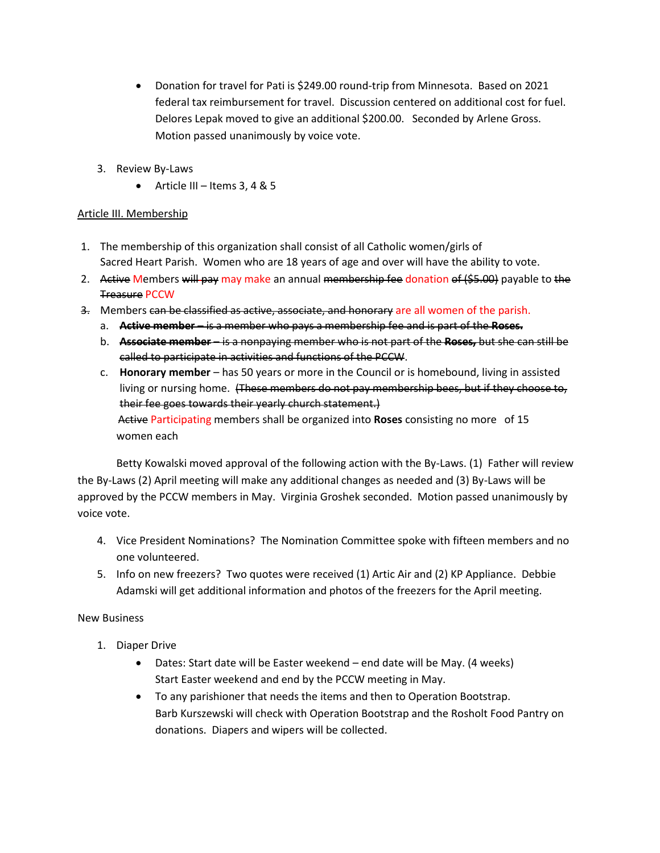- Donation for travel for Pati is \$249.00 round-trip from Minnesota. Based on 2021 federal tax reimbursement for travel. Discussion centered on additional cost for fuel. Delores Lepak moved to give an additional \$200.00. Seconded by Arlene Gross. Motion passed unanimously by voice vote.
- 3. Review By-Laws
	- Article III Items  $3, 4 & 5$

## Article III. Membership

- 1. The membership of this organization shall consist of all Catholic women/girls of Sacred Heart Parish. Women who are 18 years of age and over will have the ability to vote.
- 2. Active Members will pay may make an annual membership fee donation of (\$5.00) payable to the Treasure PCCW
- 3. Members can be classified as active, associate, and honorary are all women of the parish.
	- a. **Active member** is a member who pays a membership fee and is part of the **Roses.**
	- b. **Associate member** is a nonpaying member who is not part of the **Roses,** but she can still be called to participate in activities and functions of the PCCW.
	- c. **Honorary member** has 50 years or more in the Council or is homebound, living in assisted living or nursing home. (These members do not pay membership bees, but if they choose to, their fee goes towards their yearly church statement.) Active Participating members shall be organized into **Roses** consisting no more of 15 women each

Betty Kowalski moved approval of the following action with the By-Laws. (1) Father will review the By-Laws (2) April meeting will make any additional changes as needed and (3) By-Laws will be approved by the PCCW members in May. Virginia Groshek seconded. Motion passed unanimously by voice vote.

- 4. Vice President Nominations? The Nomination Committee spoke with fifteen members and no one volunteered.
- 5. Info on new freezers? Two quotes were received (1) Artic Air and (2) KP Appliance. Debbie Adamski will get additional information and photos of the freezers for the April meeting.

# New Business

- 1. Diaper Drive
	- Dates: Start date will be Easter weekend end date will be May. (4 weeks) Start Easter weekend and end by the PCCW meeting in May.
	- To any parishioner that needs the items and then to Operation Bootstrap. Barb Kurszewski will check with Operation Bootstrap and the Rosholt Food Pantry on donations. Diapers and wipers will be collected.